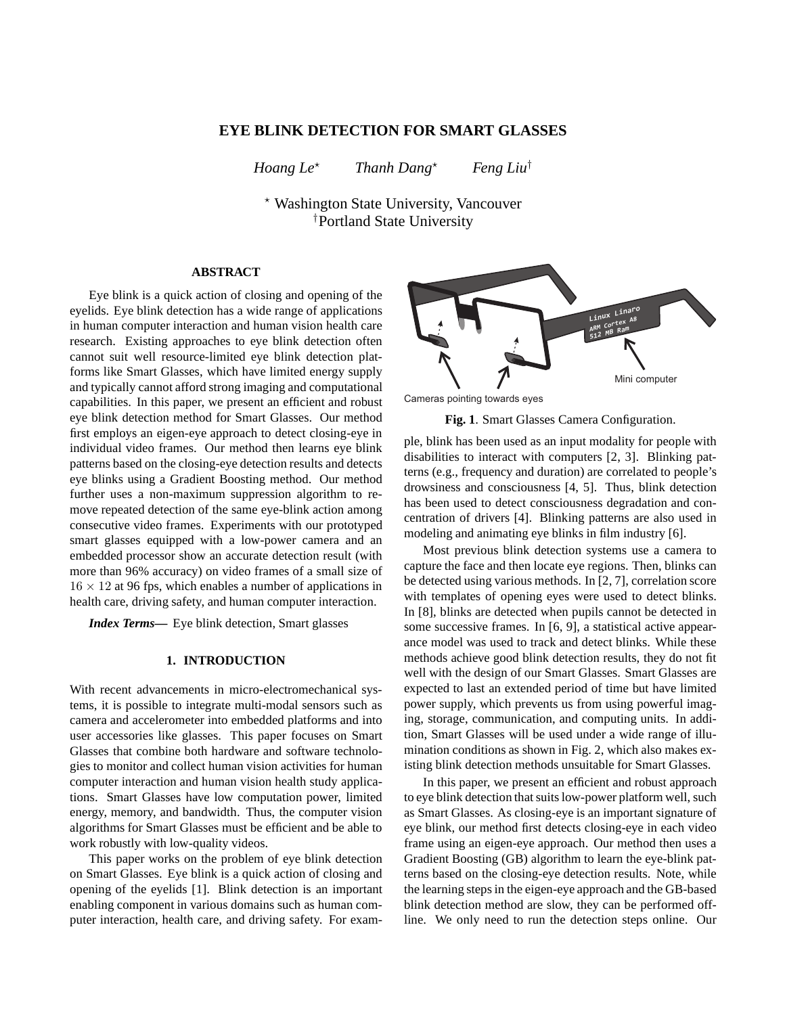# **EYE BLINK DETECTION FOR SMART GLASSES**

*Hoang Le*<sup>★</sup> *Thanh Dang*<sup>★</sup> *Feng Liu*<sup>†</sup>

<sup>⋆</sup> Washington State University, Vancouver †Portland State University

## **ABSTRACT**

Eye blink is a quick action of closing and opening of the eyelids. Eye blink detection has a wide range of applications in human computer interaction and human vision health care research. Existing approaches to eye blink detection often cannot suit well resource-limited eye blink detection platforms like Smart Glasses, which have limited energy supply and typically cannot afford strong imaging and computational capabilities. In this paper, we present an efficient and robust eye blink detection method for Smart Glasses. Our method first employs an eigen-eye approach to detect closing-eye in individual video frames. Our method then learns eye blink patterns based on the closing-eye detection results and detects eye blinks using a Gradient Boosting method. Our method further uses a non-maximum suppression algorithm to remove repeated detection of the same eye-blink action among consecutive video frames. Experiments with our prototyped smart glasses equipped with a low-power camera and an embedded processor show an accurate detection result (with more than 96% accuracy) on video frames of a small size of  $16 \times 12$  at 96 fps, which enables a number of applications in health care, driving safety, and human computer interaction.

*Index Terms***—** Eye blink detection, Smart glasses

#### **1. INTRODUCTION**

With recent advancements in micro-electromechanical systems, it is possible to integrate multi-modal sensors such as camera and accelerometer into embedded platforms and into user accessories like glasses. This paper focuses on Smart Glasses that combine both hardware and software technologies to monitor and collect human vision activities for human computer interaction and human vision health study applications. Smart Glasses have low computation power, limited energy, memory, and bandwidth. Thus, the computer vision algorithms for Smart Glasses must be efficient and be able to work robustly with low-quality videos.

This paper works on the problem of eye blink detection on Smart Glasses. Eye blink is a quick action of closing and opening of the eyelids [1]. Blink detection is an important enabling component in various domains such as human computer interaction, health care, and driving safety. For exam-



Cameras pointing towards eyes

**Fig. 1**. Smart Glasses Camera Configuration.

ple, blink has been used as an input modality for people with disabilities to interact with computers [2, 3]. Blinking patterns (e.g., frequency and duration) are correlated to people's drowsiness and consciousness [4, 5]. Thus, blink detection has been used to detect consciousness degradation and concentration of drivers [4]. Blinking patterns are also used in modeling and animating eye blinks in film industry [6].

Most previous blink detection systems use a camera to capture the face and then locate eye regions. Then, blinks can be detected using various methods. In [2, 7], correlation score with templates of opening eyes were used to detect blinks. In [8], blinks are detected when pupils cannot be detected in some successive frames. In [6, 9], a statistical active appearance model was used to track and detect blinks. While these methods achieve good blink detection results, they do not fit well with the design of our Smart Glasses. Smart Glasses are expected to last an extended period of time but have limited power supply, which prevents us from using powerful imaging, storage, communication, and computing units. In addition, Smart Glasses will be used under a wide range of illumination conditions as shown in Fig. 2, which also makes existing blink detection methods unsuitable for Smart Glasses.

In this paper, we present an efficient and robust approach to eye blink detection that suits low-power platform well, such as Smart Glasses. As closing-eye is an important signature of eye blink, our method first detects closing-eye in each video frame using an eigen-eye approach. Our method then uses a Gradient Boosting (GB) algorithm to learn the eye-blink patterns based on the closing-eye detection results. Note, while the learning steps in the eigen-eye approach and the GB-based blink detection method are slow, they can be performed offline. We only need to run the detection steps online. Our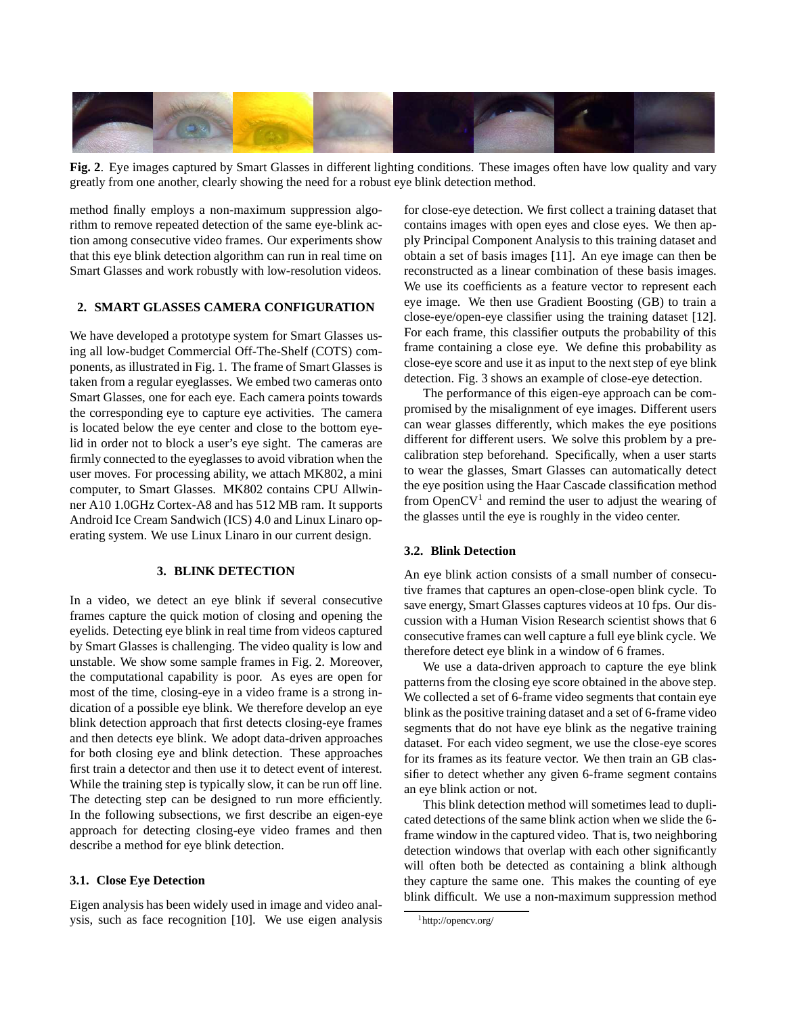

**Fig. 2**. Eye images captured by Smart Glasses in different lighting conditions. These images often have low quality and vary greatly from one another, clearly showing the need for a robust eye blink detection method.

method finally employs a non-maximum suppression algorithm to remove repeated detection of the same eye-blink action among consecutive video frames. Our experiments show that this eye blink detection algorithm can run in real time on Smart Glasses and work robustly with low-resolution videos.

### **2. SMART GLASSES CAMERA CONFIGURATION**

We have developed a prototype system for Smart Glasses using all low-budget Commercial Off-The-Shelf (COTS) components, as illustrated in Fig. 1. The frame of Smart Glasses is taken from a regular eyeglasses. We embed two cameras onto Smart Glasses, one for each eye. Each camera points towards the corresponding eye to capture eye activities. The camera is located below the eye center and close to the bottom eyelid in order not to block a user's eye sight. The cameras are firmly connected to the eyeglasses to avoid vibration when the user moves. For processing ability, we attach MK802, a mini computer, to Smart Glasses. MK802 contains CPU Allwinner A10 1.0GHz Cortex-A8 and has 512 MB ram. It supports Android Ice Cream Sandwich (ICS) 4.0 and Linux Linaro operating system. We use Linux Linaro in our current design.

## **3. BLINK DETECTION**

In a video, we detect an eye blink if several consecutive frames capture the quick motion of closing and opening the eyelids. Detecting eye blink in real time from videos captured by Smart Glasses is challenging. The video quality is low and unstable. We show some sample frames in Fig. 2. Moreover, the computational capability is poor. As eyes are open for most of the time, closing-eye in a video frame is a strong indication of a possible eye blink. We therefore develop an eye blink detection approach that first detects closing-eye frames and then detects eye blink. We adopt data-driven approaches for both closing eye and blink detection. These approaches first train a detector and then use it to detect event of interest. While the training step is typically slow, it can be run off line. The detecting step can be designed to run more efficiently. In the following subsections, we first describe an eigen-eye approach for detecting closing-eye video frames and then describe a method for eye blink detection.

## **3.1. Close Eye Detection**

Eigen analysis has been widely used in image and video analysis, such as face recognition [10]. We use eigen analysis for close-eye detection. We first collect a training dataset that contains images with open eyes and close eyes. We then apply Principal Component Analysis to this training dataset and obtain a set of basis images [11]. An eye image can then be reconstructed as a linear combination of these basis images. We use its coefficients as a feature vector to represent each eye image. We then use Gradient Boosting (GB) to train a close-eye/open-eye classifier using the training dataset [12]. For each frame, this classifier outputs the probability of this frame containing a close eye. We define this probability as close-eye score and use it as input to the next step of eye blink detection. Fig. 3 shows an example of close-eye detection.

The performance of this eigen-eye approach can be compromised by the misalignment of eye images. Different users can wear glasses differently, which makes the eye positions different for different users. We solve this problem by a precalibration step beforehand. Specifically, when a user starts to wear the glasses, Smart Glasses can automatically detect the eye position using the Haar Cascade classification method from Open $CV<sup>1</sup>$  and remind the user to adjust the wearing of the glasses until the eye is roughly in the video center.

## **3.2. Blink Detection**

An eye blink action consists of a small number of consecutive frames that captures an open-close-open blink cycle. To save energy, Smart Glasses captures videos at 10 fps. Our discussion with a Human Vision Research scientist shows that 6 consecutive frames can well capture a full eye blink cycle. We therefore detect eye blink in a window of 6 frames.

We use a data-driven approach to capture the eye blink patterns from the closing eye score obtained in the above step. We collected a set of 6-frame video segments that contain eye blink as the positive training dataset and a set of 6-frame video segments that do not have eye blink as the negative training dataset. For each video segment, we use the close-eye scores for its frames as its feature vector. We then train an GB classifier to detect whether any given 6-frame segment contains an eye blink action or not.

This blink detection method will sometimes lead to duplicated detections of the same blink action when we slide the 6 frame window in the captured video. That is, two neighboring detection windows that overlap with each other significantly will often both be detected as containing a blink although they capture the same one. This makes the counting of eye blink difficult. We use a non-maximum suppression method

<sup>1</sup>http://opencv.org/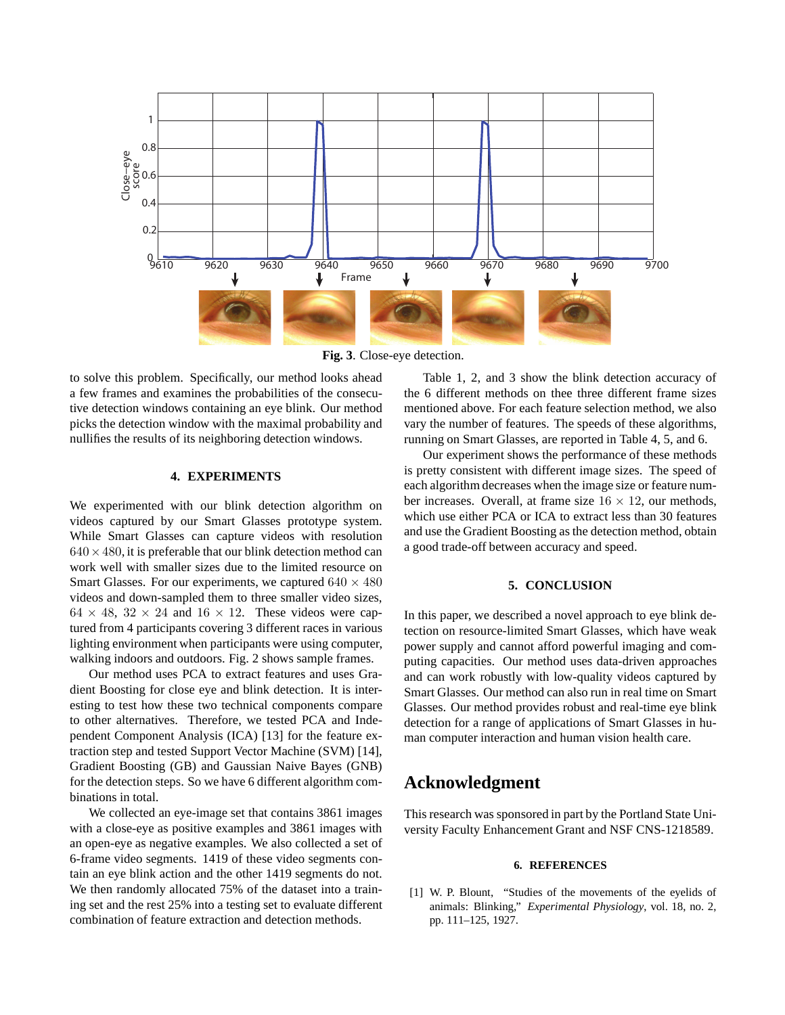

**Fig. 3**. Close-eye detection.

to solve this problem. Specifically, our method looks ahead a few frames and examines the probabilities of the consecutive detection windows containing an eye blink. Our method picks the detection window with the maximal probability and nullifies the results of its neighboring detection windows.

### **4. EXPERIMENTS**

We experimented with our blink detection algorithm on videos captured by our Smart Glasses prototype system. While Smart Glasses can capture videos with resolution  $640 \times 480$ , it is preferable that our blink detection method can work well with smaller sizes due to the limited resource on Smart Glasses. For our experiments, we captured  $640 \times 480$ videos and down-sampled them to three smaller video sizes,  $64 \times 48$ ,  $32 \times 24$  and  $16 \times 12$ . These videos were captured from 4 participants covering 3 different races in various lighting environment when participants were using computer, walking indoors and outdoors. Fig. 2 shows sample frames.

Our method uses PCA to extract features and uses Gradient Boosting for close eye and blink detection. It is interesting to test how these two technical components compare to other alternatives. Therefore, we tested PCA and Independent Component Analysis (ICA) [13] for the feature extraction step and tested Support Vector Machine (SVM) [14], Gradient Boosting (GB) and Gaussian Naive Bayes (GNB) for the detection steps. So we have 6 different algorithm combinations in total.

We collected an eye-image set that contains 3861 images with a close-eye as positive examples and 3861 images with an open-eye as negative examples. We also collected a set of 6-frame video segments. 1419 of these video segments contain an eye blink action and the other 1419 segments do not. We then randomly allocated 75% of the dataset into a training set and the rest 25% into a testing set to evaluate different combination of feature extraction and detection methods.

Table 1, 2, and 3 show the blink detection accuracy of the 6 different methods on thee three different frame sizes mentioned above. For each feature selection method, we also vary the number of features. The speeds of these algorithms, running on Smart Glasses, are reported in Table 4, 5, and 6.

Our experiment shows the performance of these methods is pretty consistent with different image sizes. The speed of each algorithm decreases when the image size or feature number increases. Overall, at frame size  $16 \times 12$ , our methods, which use either PCA or ICA to extract less than 30 features and use the Gradient Boosting as the detection method, obtain a good trade-off between accuracy and speed.

## **5. CONCLUSION**

In this paper, we described a novel approach to eye blink detection on resource-limited Smart Glasses, which have weak power supply and cannot afford powerful imaging and computing capacities. Our method uses data-driven approaches and can work robustly with low-quality videos captured by Smart Glasses. Our method can also run in real time on Smart Glasses. Our method provides robust and real-time eye blink detection for a range of applications of Smart Glasses in human computer interaction and human vision health care.

# **Acknowledgment**

This research was sponsored in part by the Portland State University Faculty Enhancement Grant and NSF CNS-1218589.

### **6. REFERENCES**

[1] W. P. Blount, "Studies of the movements of the eyelids of animals: Blinking," *Experimental Physiology*, vol. 18, no. 2, pp. 111–125, 1927.